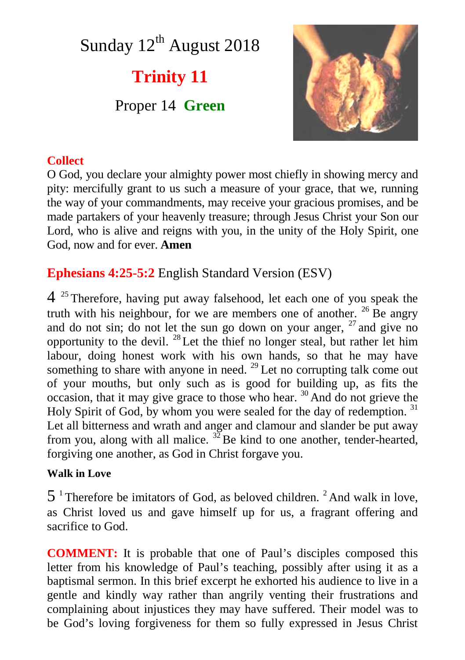# Sunday  $12<sup>th</sup>$  August 2018

# **Trinity 11**

Proper 14 **Green**



### **Collect**

O God, you declare your almighty power most chiefly in showing mercy and pity: mercifully grant to us such a measure of your grace, that we, running the way of your commandments, may receive your gracious promises, and be made partakers of your heavenly treasure; through Jesus Christ your Son our Lord, who is alive and reigns with you, in the unity of the Holy Spirit, one God, now and for ever. **Amen**

## **Ephesians 4:25-5:2** English Standard Version (ESV)

4<sup>25</sup> Therefore, having put away falsehood, let each one of you speak the truth with his neighbour, for we are members one of another.  $^{26}$  Be angry and do not sin; do not let the sun go down on your anger,  $27$  and give no opportunity to the devil.  $^{28}$  Let the thief no longer steal, but rather let him labour, doing honest work with his own hands, so that he may have something to share with anyone in need.  $^{29}$  Let no corrupting talk come out of your mouths, but only such as is good for building up, as fits the occasion, that it may give grace to those who hear. <sup>30</sup> And do not grieve the Holy Spirit of God, by whom you were sealed for the day of redemption.  $31$ Let all bitterness and wrath and anger and clamour and slander be put away from you, along with all malice.  $^{32}$ Be kind to one another, tender-hearted, forgiving one another, as God in Christ forgave you.

#### **Walk in Love**

 $5<sup>1</sup>$  Therefore be imitators of God, as beloved children. <sup>2</sup> And walk in love, as Christ loved us and gave himself up for us, a fragrant offering and sacrifice to God.

**COMMENT:** It is probable that one of Paul's disciples composed this letter from his knowledge of Paul's teaching, possibly after using it as a baptismal sermon. In this brief excerpt he exhorted his audience to live in a gentle and kindly way rather than angrily venting their frustrations and complaining about injustices they may have suffered. Their model was to be God's loving forgiveness for them so fully expressed in Jesus Christ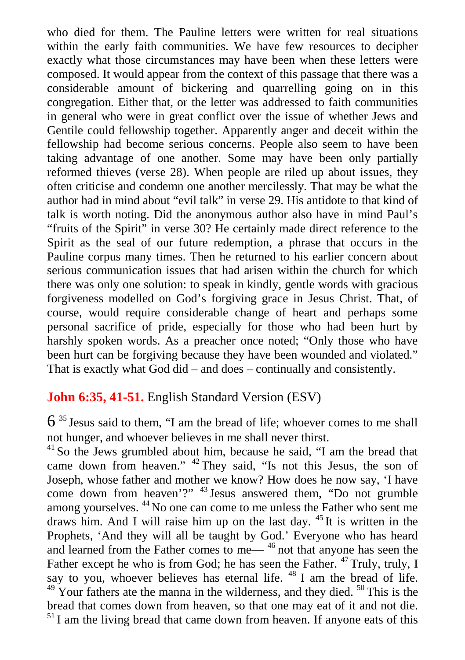who died for them. The Pauline letters were written for real situations within the early faith communities. We have few resources to decipher exactly what those circumstances may have been when these letters were composed. It would appear from the context of this passage that there was a considerable amount of bickering and quarrelling going on in this congregation. Either that, or the letter was addressed to faith communities in general who were in great conflict over the issue of whether Jews and Gentile could fellowship together. Apparently anger and deceit within the fellowship had become serious concerns. People also seem to have been taking advantage of one another. Some may have been only partially reformed thieves (verse 28). When people are riled up about issues, they often criticise and condemn one another mercilessly. That may be what the author had in mind about "evil talk" in verse 29. His antidote to that kind of talk is worth noting. Did the anonymous author also have in mind Paul's "fruits of the Spirit" in verse 30? He certainly made direct reference to the Spirit as the seal of our future redemption, a phrase that occurs in the Pauline corpus many times. Then he returned to his earlier concern about serious communication issues that had arisen within the church for which there was only one solution: to speak in kindly, gentle words with gracious forgiveness modelled on God's forgiving grace in Jesus Christ. That, of course, would require considerable change of heart and perhaps some personal sacrifice of pride, especially for those who had been hurt by harshly spoken words. As a preacher once noted; "Only those who have been hurt can be forgiving because they have been wounded and violated." That is exactly what God did – and does – continually and consistently.

#### **John 6:35, 41-51.** English Standard Version (ESV)

6 <sup>35</sup> Jesus said to them, "I am the bread of life; whoever comes to me shall not hunger, and whoever believes in me shall never thirst.

<sup>41</sup> So the Jews grumbled about him, because he said, "I am the bread that came down from heaven." <sup>42</sup> They said, "Is not this Jesus, the son of Joseph, whose father and mother we know? How does he now say, 'I have come down from heaven'?" <sup>43</sup> Jesus answered them, "Do not grumble among yourselves. <sup>44</sup> No one can come to me unless the Father who sent me draws him. And I will raise him up on the last day. <sup>45</sup> It is written in the Prophets, 'And they will all be taught by God.' Everyone who has heard and learned from the Father comes to me— <sup>46</sup> not that anyone has seen the Father except he who is from God; he has seen the Father. <sup>47</sup> Truly, truly, I say to you, whoever believes has eternal life. <sup>48</sup> I am the bread of life.  $49$  Your fathers ate the manna in the wilderness, and they died.  $50$  This is the bread that comes down from heaven, so that one may eat of it and not die.  $<sup>51</sup>$  I am the living bread that came down from heaven. If anyone eats of this</sup>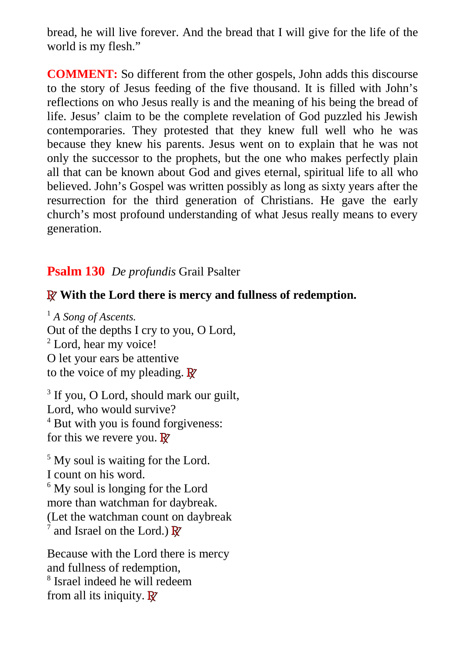bread, he will live forever. And the bread that I will give for the life of the world is my flesh."

**COMMENT:** So different from the other gospels, John adds this discourse to the story of Jesus feeding of the five thousand. It is filled with John's reflections on who Jesus really is and the meaning of his being the bread of life. Jesus' claim to be the complete revelation of God puzzled his Jewish contemporaries. They protested that they knew full well who he was because they knew his parents. Jesus went on to explain that he was not only the successor to the prophets, but the one who makes perfectly plain all that can be known about God and gives eternal, spiritual life to all who believed. John's Gospel was written possibly as long as sixty years after the resurrection for the third generation of Christians. He gave the early church's most profound understanding of what Jesus really means to every generation.

### **Psalm 130** *De profundis* Grail Psalter

#### **R With the Lord there is mercy and fullness of redemption.**

<sup>1</sup> *A Song of Ascents.* Out of the depths I cry to you, O Lord, <sup>2</sup> Lord, hear my voice! O let your ears be attentive to the voice of my pleading. **R**

<sup>3</sup> If you, O Lord, should mark our guilt, Lord, who would survive? 4 But with you is found forgiveness: for this we revere you. **R**

<sup>5</sup> My soul is waiting for the Lord. I count on his word. <sup>6</sup> My soul is longing for the Lord more than watchman for daybreak. (Let the watchman count on daybreak 7 and Israel on the Lord.) **R**

Because with the Lord there is mercy and fullness of redemption, 8 Israel indeed he will redeem from all its iniquity. **R**